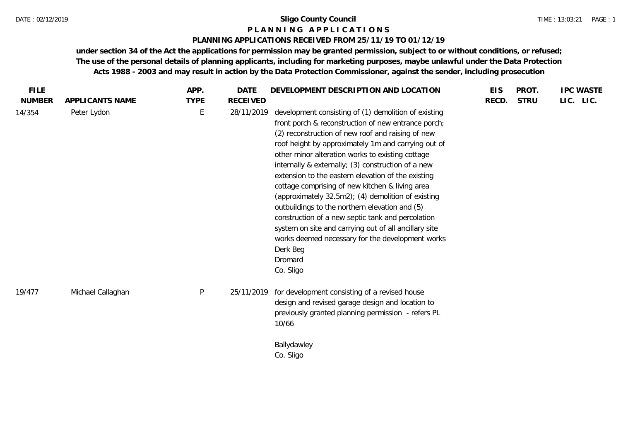#### **P L A N N I N G A P P L I C A T I O N S**

#### **PLANNING APPLICATIONS RECEIVED FROM 25/11/19 TO 01/12/19**

**under section 34 of the Act the applications for permission may be granted permission, subject to or without conditions, or refused; The use of the personal details of planning applicants, including for marketing purposes, maybe unlawful under the Data Protection Acts 1988 - 2003 and may result in action by the Data Protection Commissioner, against the sender, including prosecution**

| APPLICANTS NAME<br>Peter Lydon | <b>TYPE</b><br>Ε | <b>RECEIVED</b><br>28/11/2019 | development consisting of (1) demolition of existing                                                                                                                                                                                                                                                                                                                                                                                                                                                                                                                                                                                                                                             | RECD.                   | <b>STRU</b> | LIC. LIC. |
|--------------------------------|------------------|-------------------------------|--------------------------------------------------------------------------------------------------------------------------------------------------------------------------------------------------------------------------------------------------------------------------------------------------------------------------------------------------------------------------------------------------------------------------------------------------------------------------------------------------------------------------------------------------------------------------------------------------------------------------------------------------------------------------------------------------|-------------------------|-------------|-----------|
|                                |                  |                               |                                                                                                                                                                                                                                                                                                                                                                                                                                                                                                                                                                                                                                                                                                  |                         |             |           |
|                                |                  |                               | front porch & reconstruction of new entrance porch;<br>(2) reconstruction of new roof and raising of new<br>roof height by approximately 1m and carrying out of<br>other minor alteration works to existing cottage<br>internally & externally; (3) construction of a new<br>extension to the eastern elevation of the existing<br>cottage comprising of new kitchen & living area<br>(approximately 32.5m2); (4) demolition of existing<br>outbuildings to the northern elevation and (5)<br>construction of a new septic tank and percolation<br>system on site and carrying out of all ancillary site<br>works deemed necessary for the development works<br>Derk Beg<br>Dromard<br>Co. Sligo |                         |             |           |
| Michael Callaghan              | $\mathsf{P}$     |                               | for development consisting of a revised house<br>design and revised garage design and location to<br>previously granted planning permission - refers PL<br>10/66<br>Ballydawley                                                                                                                                                                                                                                                                                                                                                                                                                                                                                                                  |                         |             |           |
|                                |                  |                               |                                                                                                                                                                                                                                                                                                                                                                                                                                                                                                                                                                                                                                                                                                  | 25/11/2019<br>Co. Sligo |             |           |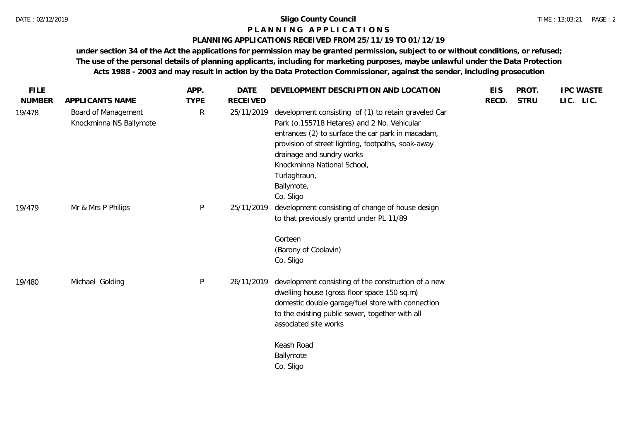#### **P L A N N I N G A P P L I C A T I O N S**

#### **PLANNING APPLICATIONS RECEIVED FROM 25/11/19 TO 01/12/19**

**under section 34 of the Act the applications for permission may be granted permission, subject to or without conditions, or refused; The use of the personal details of planning applicants, including for marketing purposes, maybe unlawful under the Data Protection Acts 1988 - 2003 and may result in action by the Data Protection Commissioner, against the sender, including prosecution**

| <b>FILE</b>   |                                                | APP.         | <b>DATE</b>     | DEVELOPMENT DESCRIPTION AND LOCATION                                                                                                                                                                                                                                                                                  | <b>EIS</b> | PROT.       | <b>IPC WASTE</b> |
|---------------|------------------------------------------------|--------------|-----------------|-----------------------------------------------------------------------------------------------------------------------------------------------------------------------------------------------------------------------------------------------------------------------------------------------------------------------|------------|-------------|------------------|
| <b>NUMBER</b> | APPLICANTS NAME                                | <b>TYPE</b>  | <b>RECEIVED</b> |                                                                                                                                                                                                                                                                                                                       | RECD.      | <b>STRU</b> | LIC. LIC.        |
| 19/478        | Board of Management<br>Knockminna NS Ballymote | R            | 25/11/2019      | development consisting of (1) to retain graveled Car<br>Park (o.155718 Hetares) and 2 No. Vehicular<br>entrances (2) to surface the car park in macadam,<br>provision of street lighting, footpaths, soak-away<br>drainage and sundry works<br>Knockminna National School,<br>Turlaghraun,<br>Ballymote,<br>Co. Sligo |            |             |                  |
| 19/479        | Mr & Mrs P Philips                             | $\mathsf{P}$ | 25/11/2019      | development consisting of change of house design<br>to that previously grantd under PL 11/89                                                                                                                                                                                                                          |            |             |                  |
|               |                                                |              |                 | Gorteen<br>(Barony of Coolavin)<br>Co. Sligo                                                                                                                                                                                                                                                                          |            |             |                  |
| 19/480        | Michael Golding                                | $\mathsf{P}$ | 26/11/2019      | development consisting of the construction of a new<br>dwelling house (gross floor space 150 sq.m)<br>domestic double garage/fuel store with connection<br>to the existing public sewer, together with all<br>associated site works                                                                                   |            |             |                  |
|               |                                                |              |                 | Keash Road<br>Ballymote<br>Co. Sligo                                                                                                                                                                                                                                                                                  |            |             |                  |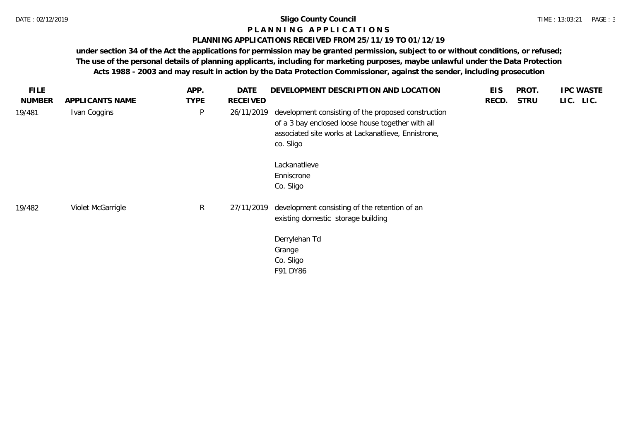#### **P L A N N I N G A P P L I C A T I O N S**

#### **PLANNING APPLICATIONS RECEIVED FROM 25/11/19 TO 01/12/19**

**under section 34 of the Act the applications for permission may be granted permission, subject to or without conditions, or refused; The use of the personal details of planning applicants, including for marketing purposes, maybe unlawful under the Data Protection Acts 1988 - 2003 and may result in action by the Data Protection Commissioner, against the sender, including prosecution**

| <b>FILE</b>   |                   | APP.         | <b>DATE</b> | DEVELOPMENT DESCRIPTION AND LOCATION                                                                                                                                         | <b>EIS</b> | PROT.       | <b>IPC WASTE</b> |
|---------------|-------------------|--------------|-------------|------------------------------------------------------------------------------------------------------------------------------------------------------------------------------|------------|-------------|------------------|
| <b>NUMBER</b> | APPLICANTS NAME   | <b>TYPE</b>  | RECEIVED    |                                                                                                                                                                              | RECD.      | <b>STRU</b> | LIC. LIC.        |
| 19/481        | Ivan Coggins      | $\sf P$      | 26/11/2019  | development consisting of the proposed construction<br>of a 3 bay enclosed loose house together with all<br>associated site works at Lackanatlieve, Ennistrone,<br>co. Sligo |            |             |                  |
|               |                   |              |             | Lackanatlieve<br>Enniscrone<br>Co. Sligo                                                                                                                                     |            |             |                  |
| 19/482        | Violet McGarrigle | $\mathsf{R}$ | 27/11/2019  | development consisting of the retention of an<br>existing domestic storage building<br>Derrylehan Td                                                                         |            |             |                  |
|               |                   |              |             | Grange<br>Co. Sligo<br>F91 DY86                                                                                                                                              |            |             |                  |
|               |                   |              |             |                                                                                                                                                                              |            |             |                  |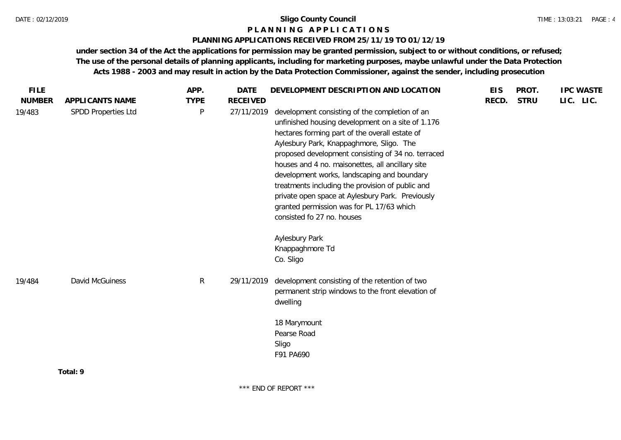### **P L A N N I N G A P P L I C A T I O N S**

#### **PLANNING APPLICATIONS RECEIVED FROM 25/11/19 TO 01/12/19**

**under section 34 of the Act the applications for permission may be granted permission, subject to or without conditions, or refused; The use of the personal details of planning applicants, including for marketing purposes, maybe unlawful under the Data Protection Acts 1988 - 2003 and may result in action by the Data Protection Commissioner, against the sender, including prosecution**

| <b>FILE</b>   |                     | APP.        | <b>DATE</b>     | DEVELOPMENT DESCRIPTION AND LOCATION                                                                                                                                                                                                                                                                                                                                                                                                                                                                                                                                               | <b>EIS</b> | PROT.       | <b>IPC WASTE</b> |
|---------------|---------------------|-------------|-----------------|------------------------------------------------------------------------------------------------------------------------------------------------------------------------------------------------------------------------------------------------------------------------------------------------------------------------------------------------------------------------------------------------------------------------------------------------------------------------------------------------------------------------------------------------------------------------------------|------------|-------------|------------------|
| <b>NUMBER</b> | APPLICANTS NAME     | <b>TYPE</b> | <b>RECEIVED</b> |                                                                                                                                                                                                                                                                                                                                                                                                                                                                                                                                                                                    | RECD.      | <b>STRU</b> | LIC. LIC.        |
| 19/483        | SPDD Properties Ltd | $\sf P$     | 27/11/2019      | development consisting of the completion of an<br>unfinished housing development on a site of 1.176<br>hectares forming part of the overall estate of<br>Aylesbury Park, Knappaghmore, Sligo. The<br>proposed development consisting of 34 no. terraced<br>houses and 4 no. maisonettes, all ancillary site<br>development works, landscaping and boundary<br>treatments including the provision of public and<br>private open space at Aylesbury Park. Previously<br>granted permission was for PL 17/63 which<br>consisted fo 27 no. houses<br>Aylesbury Park<br>Knappaghmore Td |            |             |                  |
|               |                     |             |                 | Co. Sligo                                                                                                                                                                                                                                                                                                                                                                                                                                                                                                                                                                          |            |             |                  |
| 19/484        | David McGuiness     | R           | 29/11/2019      | development consisting of the retention of two<br>permanent strip windows to the front elevation of<br>dwelling                                                                                                                                                                                                                                                                                                                                                                                                                                                                    |            |             |                  |
|               |                     |             |                 | 18 Marymount<br>Pearse Road                                                                                                                                                                                                                                                                                                                                                                                                                                                                                                                                                        |            |             |                  |
|               |                     |             |                 | Sligo<br>F91 PA690                                                                                                                                                                                                                                                                                                                                                                                                                                                                                                                                                                 |            |             |                  |
|               | Total: 9            |             |                 |                                                                                                                                                                                                                                                                                                                                                                                                                                                                                                                                                                                    |            |             |                  |
|               |                     |             |                 |                                                                                                                                                                                                                                                                                                                                                                                                                                                                                                                                                                                    |            |             |                  |

\*\*\* END OF REPORT \*\*\*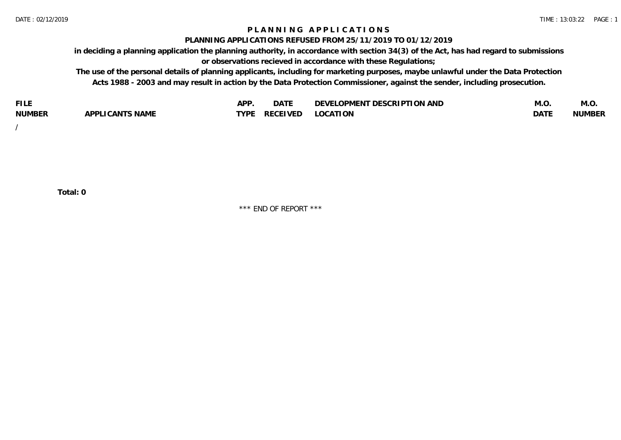## **P L A N N I N G A P P L I C A T I O N S**

#### **PLANNING APPLICATIONS REFUSED FROM 25/11/2019 TO 01/12/2019**

**in deciding a planning application the planning authority, in accordance with section 34(3) of the Act, has had regard to submissions or observations recieved in accordance with these Regulations;**

**The use of the personal details of planning applicants, including for marketing purposes, maybe unlawful under the Data Protection Acts 1988 - 2003 and may result in action by the Data Protection Commissioner, against the sender, including prosecution.**

| <b>FILE</b>   |                                                     | A DE        | $\sim$ $\sim$ $\sim$<br>DA I | <b>ENT DESCRIPTION AND</b><br>$\cap$ nn.<br>)E\/F<br>. JIEN L<br>பட | IVI.U       | IVI.U         |
|---------------|-----------------------------------------------------|-------------|------------------------------|---------------------------------------------------------------------|-------------|---------------|
| <b>NUMBER</b> | <b>ANTS NAME</b><br>A DDI<br>$\sqrt{2}$<br>CAN<br>u | <b>TVDL</b> | ◡⊢                           | <b>OCATION</b>                                                      | <b>DATF</b> | <b>NUMBER</b> |

/

**Total: 0**

\*\*\* END OF REPORT \*\*\*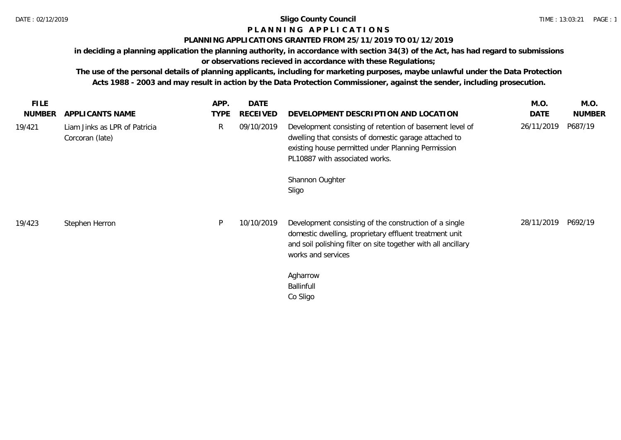## **P L A N N I N G A P P L I C A T I O N S**

#### **PLANNING APPLICATIONS GRANTED FROM 25/11/2019 TO 01/12/2019**

**in deciding a planning application the planning authority, in accordance with section 34(3) of the Act, has had regard to submissions or observations recieved in accordance with these Regulations;**

**The use of the personal details of planning applicants, including for marketing purposes, maybe unlawful under the Data Protection Acts 1988 - 2003 and may result in action by the Data Protection Commissioner, against the sender, including prosecution.**

| <b>FILE</b><br><b>NUMBER</b> | APPLICANTS NAME                                  | APP.<br><b>TYPE</b> | <b>DATE</b><br>RECEIVED | DEVELOPMENT DESCRIPTION AND LOCATION                                                                                                                                                                      | M.O.<br>DATE | M.O.<br><b>NUMBER</b> |
|------------------------------|--------------------------------------------------|---------------------|-------------------------|-----------------------------------------------------------------------------------------------------------------------------------------------------------------------------------------------------------|--------------|-----------------------|
| 19/421                       | Liam Jinks as LPR of Patricia<br>Corcoran (late) | R                   | 09/10/2019              | Development consisting of retention of basement level of<br>dwelling that consists of domestic garage attached to<br>existing house permitted under Planning Permission<br>PL10887 with associated works. | 26/11/2019   | P687/19               |
|                              |                                                  |                     |                         | Shannon Oughter<br>Sligo                                                                                                                                                                                  |              |                       |
| 19/423                       | Stephen Herron                                   | P                   | 10/10/2019              | Development consisting of the construction of a single<br>domestic dwelling, proprietary effluent treatment unit<br>and soil polishing filter on site together with all ancillary<br>works and services   | 28/11/2019   | P692/19               |
|                              |                                                  |                     |                         | Agharrow<br>Ballinfull<br>Co Sligo                                                                                                                                                                        |              |                       |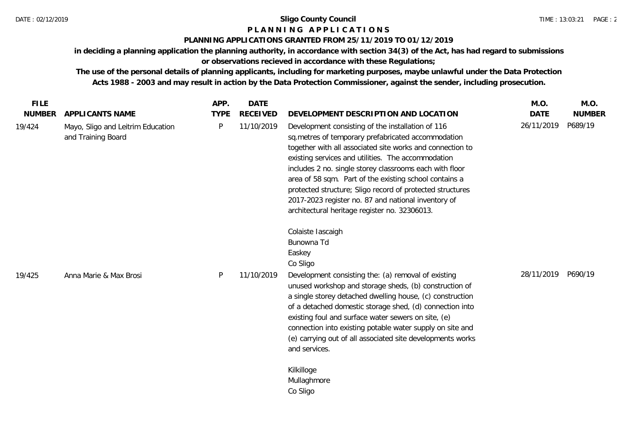# **P L A N N I N G A P P L I C A T I O N S**

## **PLANNING APPLICATIONS GRANTED FROM 25/11/2019 TO 01/12/2019**

**in deciding a planning application the planning authority, in accordance with section 34(3) of the Act, has had regard to submissions or observations recieved in accordance with these Regulations;**

**The use of the personal details of planning applicants, including for marketing purposes, maybe unlawful under the Data Protection Acts 1988 - 2003 and may result in action by the Data Protection Commissioner, against the sender, including prosecution.**

| <b>FILE</b>   |                                                         | APP.        | <b>DATE</b>     |                                                                                                                                                                                                                                                                                                                                                                                                                                                                                                                      | M.O.        | M.O.          |
|---------------|---------------------------------------------------------|-------------|-----------------|----------------------------------------------------------------------------------------------------------------------------------------------------------------------------------------------------------------------------------------------------------------------------------------------------------------------------------------------------------------------------------------------------------------------------------------------------------------------------------------------------------------------|-------------|---------------|
| <b>NUMBER</b> | APPLICANTS NAME                                         | <b>TYPE</b> | <b>RECEIVED</b> | DEVELOPMENT DESCRIPTION AND LOCATION                                                                                                                                                                                                                                                                                                                                                                                                                                                                                 | <b>DATE</b> | <b>NUMBER</b> |
| 19/424        | Mayo, Sligo and Leitrim Education<br>and Training Board | P           | 11/10/2019      | Development consisting of the installation of 116<br>sq.metres of temporary prefabricated accommodation<br>together with all associated site works and connection to<br>existing services and utilities. The accommodation<br>includes 2 no. single storey classrooms each with floor<br>area of 58 sqm. Part of the existing school contains a<br>protected structure; Sligo record of protected structures<br>2017-2023 register no. 87 and national inventory of<br>architectural heritage register no. 32306013. | 26/11/2019  | P689/19       |
|               |                                                         |             |                 | Colaiste Iascaigh<br>Bunowna Td<br>Easkey<br>Co Sligo                                                                                                                                                                                                                                                                                                                                                                                                                                                                |             |               |
| 19/425        | Anna Marie & Max Brosi                                  | P           | 11/10/2019      | Development consisting the: (a) removal of existing<br>unused workshop and storage sheds, (b) construction of<br>a single storey detached dwelling house, (c) construction<br>of a detached domestic storage shed, (d) connection into<br>existing foul and surface water sewers on site, (e)<br>connection into existing potable water supply on site and<br>(e) carrying out of all associated site developments works<br>and services.                                                                            | 28/11/2019  | P690/19       |
|               |                                                         |             |                 | Kilkilloge<br>Mullaghmore                                                                                                                                                                                                                                                                                                                                                                                                                                                                                            |             |               |
|               |                                                         |             |                 | Co Sligo                                                                                                                                                                                                                                                                                                                                                                                                                                                                                                             |             |               |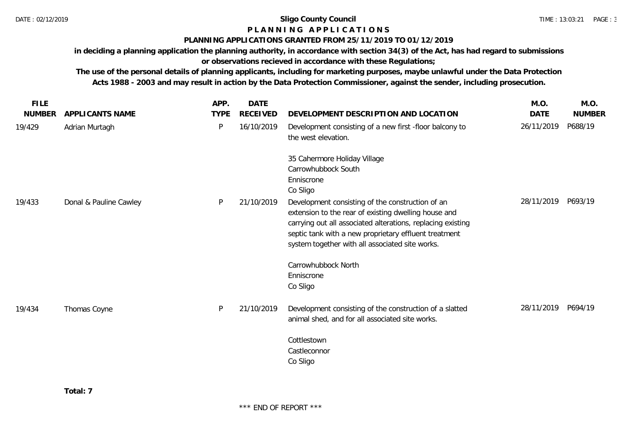## **P L A N N I N G A P P L I C A T I O N S**

## **PLANNING APPLICATIONS GRANTED FROM 25/11/2019 TO 01/12/2019**

**in deciding a planning application the planning authority, in accordance with section 34(3) of the Act, has had regard to submissions or observations recieved in accordance with these Regulations;**

**The use of the personal details of planning applicants, including for marketing purposes, maybe unlawful under the Data Protection Acts 1988 - 2003 and may result in action by the Data Protection Commissioner, against the sender, including prosecution.**

| <b>FILE</b>   |                        | APP.        | <b>DATE</b>     |                                                                                                                                                                                                                                                                                                                                                                      | M.O.               | M.O.          |
|---------------|------------------------|-------------|-----------------|----------------------------------------------------------------------------------------------------------------------------------------------------------------------------------------------------------------------------------------------------------------------------------------------------------------------------------------------------------------------|--------------------|---------------|
| <b>NUMBER</b> | APPLICANTS NAME        | <b>TYPE</b> | <b>RECEIVED</b> | DEVELOPMENT DESCRIPTION AND LOCATION                                                                                                                                                                                                                                                                                                                                 | <b>DATE</b>        | <b>NUMBER</b> |
| 19/429        | Adrian Murtagh         | P           | 16/10/2019      | Development consisting of a new first -floor balcony to<br>the west elevation.                                                                                                                                                                                                                                                                                       | 26/11/2019         | P688/19       |
| 19/433        | Donal & Pauline Cawley | P           | 21/10/2019      | 35 Cahermore Holiday Village<br>Carrowhubbock South<br>Enniscrone<br>Co Sligo<br>Development consisting of the construction of an<br>extension to the rear of existing dwelling house and<br>carrying out all associated alterations, replacing existing<br>septic tank with a new proprietary effluent treatment<br>system together with all associated site works. | 28/11/2019         | P693/19       |
| 19/434        | Thomas Coyne           | P           | 21/10/2019      | Carrowhubbock North<br>Enniscrone<br>Co Sligo<br>Development consisting of the construction of a slatted                                                                                                                                                                                                                                                             | 28/11/2019 P694/19 |               |
|               |                        |             |                 | animal shed, and for all associated site works.<br>Cottlestown<br>Castleconnor<br>Co Sligo                                                                                                                                                                                                                                                                           |                    |               |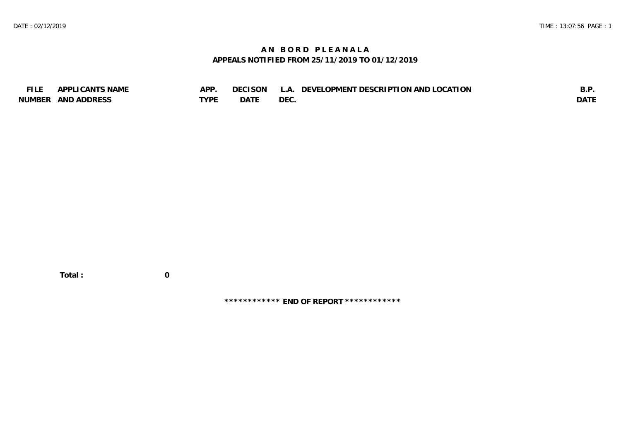## **A N B O R D P L E A N A L A APPEALS NOTIFIED FROM 25/11/2019 TO 01/12/2019**

| <b>FILE</b> | APPLICANTS NAME    | APP  | DECISON L   | L.A. DEVELOPMENT DESCRIPTION AND LOCATION | B.F         |
|-------------|--------------------|------|-------------|-------------------------------------------|-------------|
|             | NUMBER AND ADDRESS | TYPE | <b>DATE</b> | <b>DEC</b>                                | <b>DATE</b> |

 **Total : 0**

**\*\*\*\*\*\*\*\*\*\*\*\* END OF REPORT \*\*\*\*\*\*\*\*\*\*\*\***